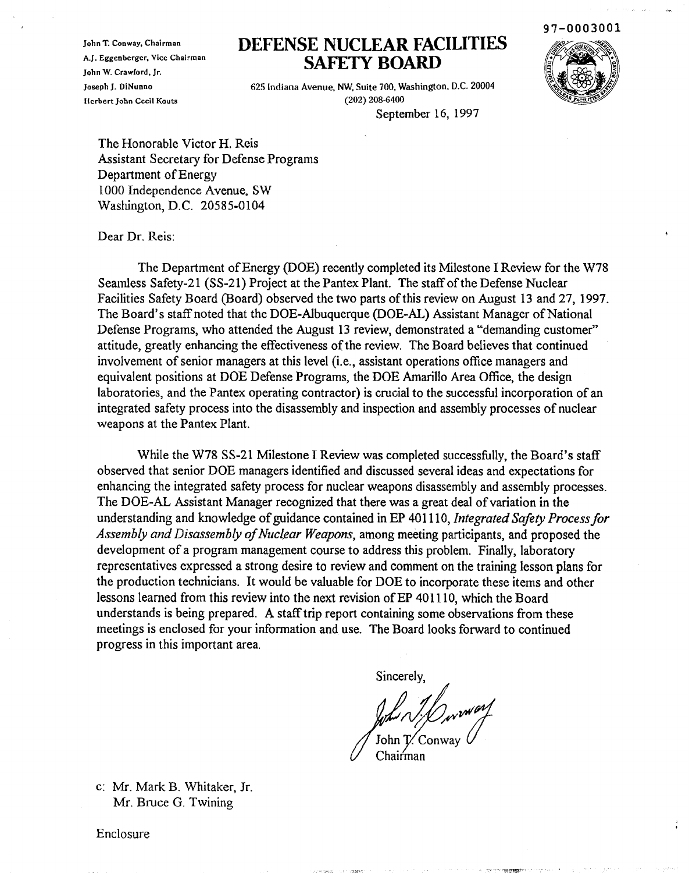John T. Conway, Chairman A.J. Eggenberger. Vice Chairman John W. Crawford, Jr. Joseph J. DiNunno Herbert John Cecil Kouts

## **DEFENSE NUCLEAR FACILITIES SAFETY BOARD**



625 Indiana Avenue. NW, Suite 700. Washington, D.C. 20004 (202) 208-6400

September 16, 1997

The Honorable Victor H. Reis Assistant Secretary for Defense Programs Department of Energy 1000 Independence Avenue, SW Washington, D.C. 20585·0104

Dear Dr. Reis:

The Department of Energy (DOE) recently completed its Milestone I Review for the W78 Seamless Safety-21 (SS-21) Project at the Pantex Plant. The staff of the Defense Nuclear Facilities Safety Board (Board) observed the two parts of this review on August 13 and 27, 1997. The Board's staff noted that the DOE-Albuquerque (DOE-AL) Assistant Manager of National Defense Programs, who attended the August 13 review, demonstrated a "demanding customer" attitude, greatly enhancing the effectiveness of the review. The Board believes that continued involvement of senior managers at this level (i.e., assistant operations office managers and equivalent positions at DOE Defense Programs, the DOE Amarillo Area Office, the design laboratories, and the Pantex operating contractor) is crucial to the successful incorporation of an integrated safety process into the disassembly and inspection and assembly processes of nuclear weapons at the Pantex Plant.

While the W78 SS-21 Milestone I Review was completed successfully, the Board's staff observed that senior DOE managers identified and discussed several ideas and expectations for enhancing the integrated safety process for nuclear weapons disassembly and assembly processes. The DOE-AL Assistant Manager recognized that there was a great deal of variation in the understanding and knowledge of guidance contained in EP 401110, *Integrated Safety Process for* Assembly and Disassembly of Nuclear Weapons, among meeting participants, and proposed the development of a program management course to address this problem. Finally, laboratory representatives expressed a strong desire to review and comment on the training lesson plans for the production technicians. It would be valuable for DOE to incorporate these items and other lessons learned from this review into the next revision of EP 401110, which the Board understands is being prepared. A staff trip report containing some observations from these meetings is enclosed for your information and use. The Board looks forward to continued progress in this important area.

Sincerely,

John N. Derway

Chairman

c: Mr. Mark B. Whitaker, Jr. Mr. Bruce G. Twining

Enclosure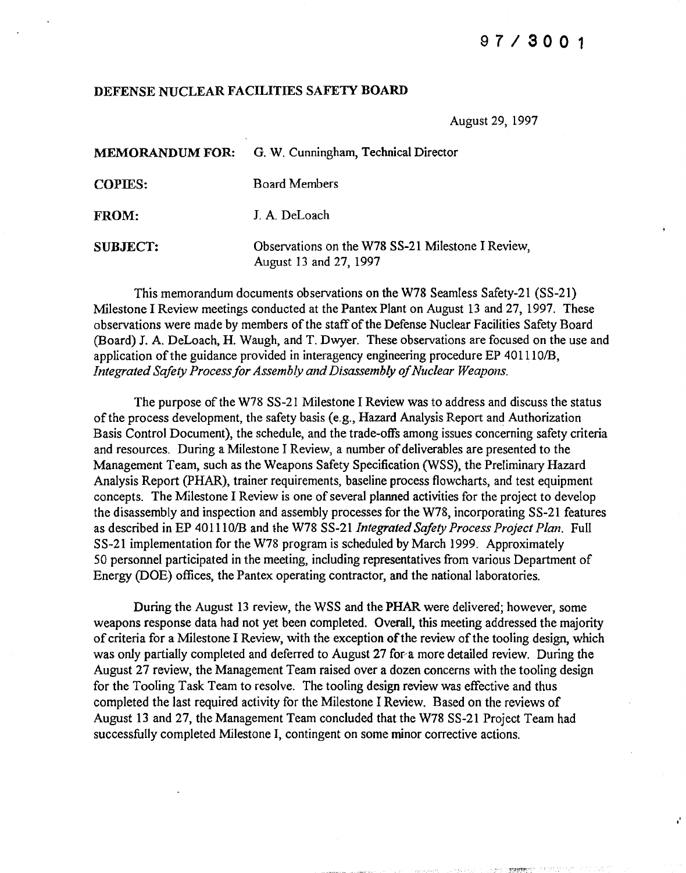## 97/3001

"

## DEFENSE NUCLEAR FACILITIES SAFETY BOARD

August 29, 1997

|                 | MEMORANDUM FOR: G. W. Cunningham, Technical Director                        |
|-----------------|-----------------------------------------------------------------------------|
| <b>COPIES:</b>  | <b>Board Members</b>                                                        |
| <b>FROM:</b>    | J. A. DeLoach                                                               |
| <b>SUBJECT:</b> | Observations on the W78 SS-21 Milestone I Review,<br>August 13 and 27, 1997 |

This memorandum documents observations on the W78 Seamless Safety-21 (SS-21) Milestone I Review meetings conducted at the Pantex Plant on August 13 and 27, 1997. These observations were made by members of the staff of the Defense Nuclear Facilities Safety Board (Board) J. A. DeLoach, H. Waugh, and T. Dwyer. These observations are focused on the use and application of the guidance provided in interagency engineering procedure EP 401110/B. *Integrated Safety Process for Assembly and Disassembly of Nuclear Weapons.* 

The purpose of the W78 SS-21 Milestone I Review was to address and discuss the status ofthe process development, the safety basis (e.g., Hazard Analysis Report and Authorization Basis Control Document), the schedule, and the trade-offs among issues concerning safety criteria and resources. During a Milestone I Review, a number of deliverables are presented to the Management Team, such as the Weapons Safety Specification (WSS), the Preliminary Hazard Analysis Report (PHAR), trainer requirements, baseline process flowcharts, and test equipment concepts. The Milestone I Review is one of several planned activities for the project to develop the disassembly and inspection and assembly processes for the W78, incorporating SS-21 features as described in EP 4011101B and the W78 SS-21 *Integrated Safety Process Project Plan.* Full SS-21 implementation for the W78 program is scheduled by March 1999. Approximately 50 personnel participated in the meeting, including representatives from various Department of Energy (DOE) offices, the Pantex operating contractor, and the national laboratories.

During the August 13 review, the WSS and the PHAR were delivered; however, some weapons response data had not yet been completed. Overall, this meeting addressed the majority of criteria for a Milestone I Review, with the exception of the review of the tooling design, which was only partially completed and deferred to August 27 for a more detailed review. During the August 27 review, the Management Team raised over a dozen concerns with the tooling design for the Tooling Task Team to resolve. The tooling design review was effective and thus completed the last required activity for the Milestone I Review. Based on the reviews of August 13 and 27, the Management Team concluded that the W78 SS-21 Project Team had successfully completed Milestone I, contingent on some minor corrective actions.